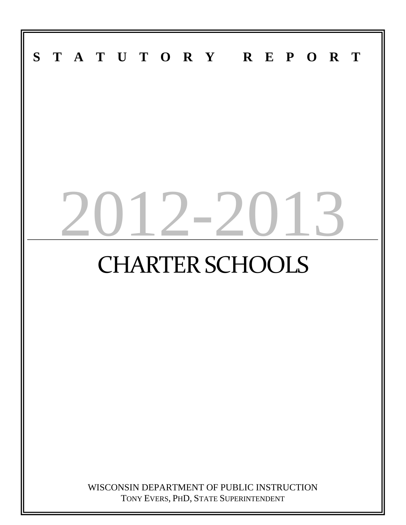# **STATUTORY REPORT**  $12 - 201$ CHARTER SCHOOLS WISCONSIN DEPARTMENT OF PUBLIC INSTRUCTION TONY EVERS, PHD, STATE SUPERINTENDENT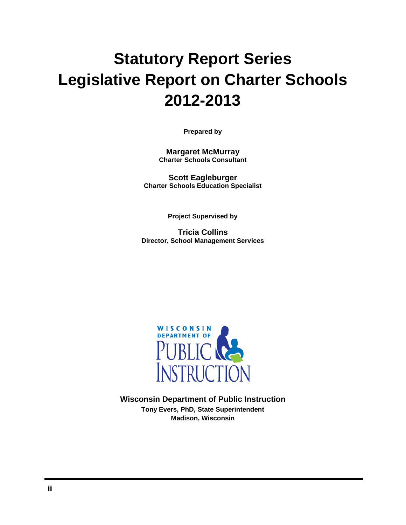# **Statutory Report Series Legislative Report on Charter Schools 2012-2013**

**Prepared by**

**Margaret McMurray Charter Schools Consultant**

**Scott Eagleburger Charter Schools Education Specialist**

**Project Supervised by**

**Tricia Collins Director, School Management Services**



**Wisconsin Department of Public Instruction Tony Evers, PhD, State Superintendent Madison, Wisconsin**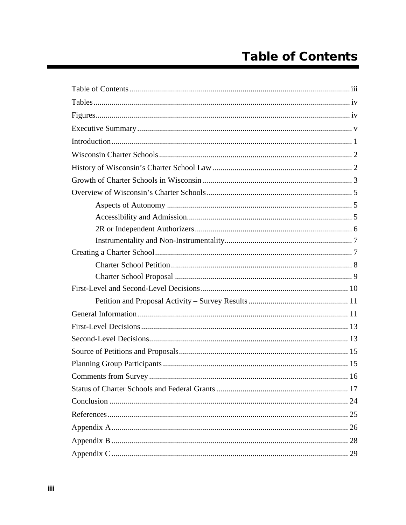# **Table of Contents**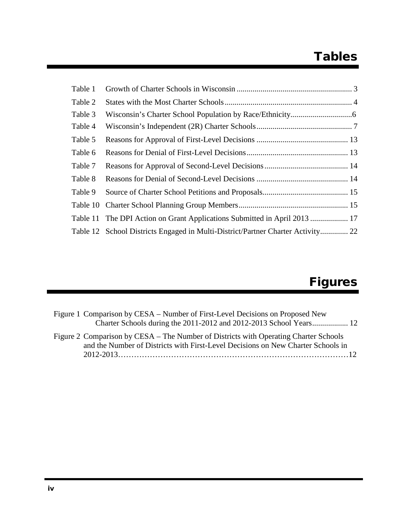# Tables

| Table 11 The DPI Action on Grant Applications Submitted in April 2013  17       |  |
|---------------------------------------------------------------------------------|--|
| Table 12 School Districts Engaged in Multi-District/Partner Charter Activity 22 |  |
|                                                                                 |  |

# **Figures**

| Figure 1 Comparison by CESA – Number of First-Level Decisions on Proposed New                                                                                            |
|--------------------------------------------------------------------------------------------------------------------------------------------------------------------------|
|                                                                                                                                                                          |
| Figure 2 Comparison by CESA – The Number of Districts with Operating Charter Schools<br>and the Number of Districts with First-Level Decisions on New Charter Schools in |
|                                                                                                                                                                          |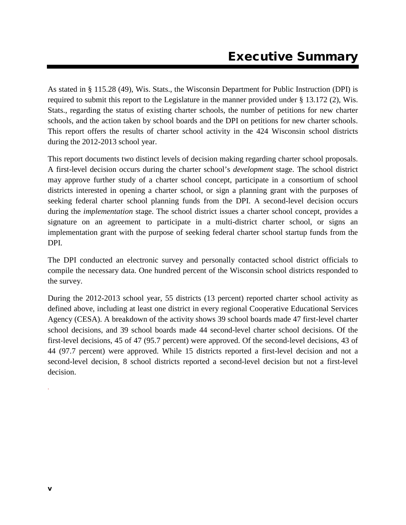As stated in § 115.28 (49), Wis. Stats., the Wisconsin Department for Public Instruction (DPI) is required to submit this report to the Legislature in the manner provided under § 13.172 (2), Wis. Stats., regarding the status of existing charter schools, the number of petitions for new charter schools, and the action taken by school boards and the DPI on petitions for new charter schools. This report offers the results of charter school activity in the 424 Wisconsin school districts during the 2012-2013 school year.

This report documents two distinct levels of decision making regarding charter school proposals. A first-level decision occurs during the charter school's *development* stage. The school district may approve further study of a charter school concept, participate in a consortium of school districts interested in opening a charter school, or sign a planning grant with the purposes of seeking federal charter school planning funds from the DPI. A second-level decision occurs during the *implementation* stage. The school district issues a charter school concept, provides a signature on an agreement to participate in a multi-district charter school, or signs an implementation grant with the purpose of seeking federal charter school startup funds from the DPI.

The DPI conducted an electronic survey and personally contacted school district officials to compile the necessary data. One hundred percent of the Wisconsin school districts responded to the survey.

During the 2012-2013 school year, 55 districts (13 percent) reported charter school activity as defined above, including at least one district in every regional Cooperative Educational Services Agency (CESA). A breakdown of the activity shows 39 school boards made 47 first-level charter school decisions, and 39 school boards made 44 second-level charter school decisions. Of the first-level decisions, 45 of 47 (95.7 percent) were approved. Of the second-level decisions, 43 of 44 (97.7 percent) were approved. While 15 districts reported a first-level decision and not a second-level decision, 8 school districts reported a second-level decision but not a first-level decision.

.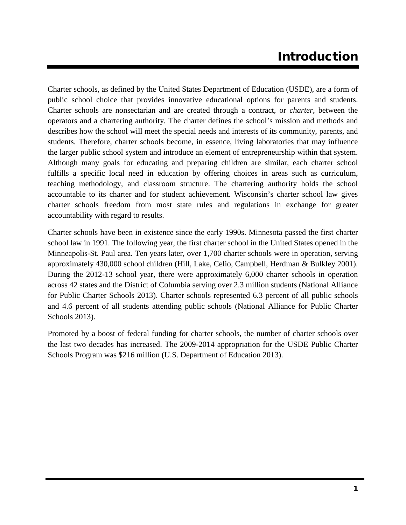# Introduction

Charter schools, as defined by the United States Department of Education (USDE), are a form of public school choice that provides innovative educational options for parents and students. Charter schools are nonsectarian and are created through a contract, or *charter*, between the operators and a chartering authority. The charter defines the school's mission and methods and describes how the school will meet the special needs and interests of its community, parents, and students. Therefore, charter schools become, in essence, living laboratories that may influence the larger public school system and introduce an element of entrepreneurship within that system. Although many goals for educating and preparing children are similar, each charter school fulfills a specific local need in education by offering choices in areas such as curriculum, teaching methodology, and classroom structure. The chartering authority holds the school accountable to its charter and for student achievement. Wisconsin's charter school law gives charter schools freedom from most state rules and regulations in exchange for greater accountability with regard to results.

Charter schools have been in existence since the early 1990s. Minnesota passed the first charter school law in 1991. The following year, the first charter school in the United States opened in the Minneapolis-St. Paul area. Ten years later, over 1,700 charter schools were in operation, serving approximately 430,000 school children (Hill, Lake, Celio, Campbell, Herdman & Bulkley 2001). During the 2012-13 school year, there were approximately 6,000 charter schools in operation across 42 states and the District of Columbia serving over 2.3 million students (National Alliance for Public Charter Schools 2013). Charter schools represented 6.3 percent of all public schools and 4.6 percent of all students attending public schools (National Alliance for Public Charter Schools 2013).

Promoted by a boost of federal funding for charter schools, the number of charter schools over the last two decades has increased. The 2009-2014 appropriation for the USDE Public Charter Schools Program was \$216 million (U.S. Department of Education 2013).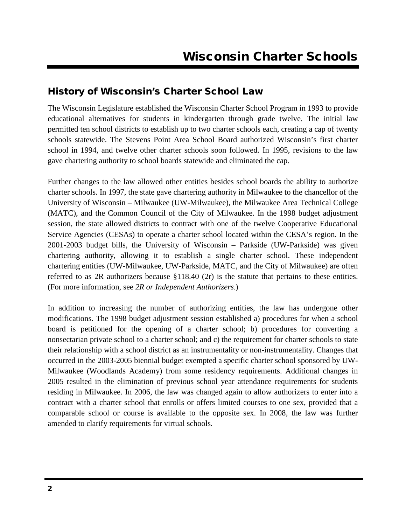## History of Wisconsin's Charter School Law

The Wisconsin Legislature established the Wisconsin Charter School Program in 1993 to provide educational alternatives for students in kindergarten through grade twelve. The initial law permitted ten school districts to establish up to two charter schools each, creating a cap of twenty schools statewide. The Stevens Point Area School Board authorized Wisconsin's first charter school in 1994, and twelve other charter schools soon followed. In 1995, revisions to the law gave chartering authority to school boards statewide and eliminated the cap.

Further changes to the law allowed other entities besides school boards the ability to authorize charter schools. In 1997, the state gave chartering authority in Milwaukee to the chancellor of the University of Wisconsin – Milwaukee (UW-Milwaukee), the Milwaukee Area Technical College (MATC), and the Common Council of the City of Milwaukee. In the 1998 budget adjustment session, the state allowed districts to contract with one of the twelve Cooperative Educational Service Agencies (CESAs) to operate a charter school located within the CESA's region. In the 2001-2003 budget bills, the University of Wisconsin – Parkside (UW-Parkside) was given chartering authority, allowing it to establish a single charter school. These independent chartering entities (UW-Milwaukee, UW-Parkside, MATC, and the City of Milwaukee) are often referred to as 2R authorizers because §118.40 (2r) is the statute that pertains to these entities. (For more information, see *2R or Independent Authorizers*.)

In addition to increasing the number of authorizing entities, the law has undergone other modifications. The 1998 budget adjustment session established a) procedures for when a school board is petitioned for the opening of a charter school; b) procedures for converting a nonsectarian private school to a charter school; and c) the requirement for charter schools to state their relationship with a school district as an instrumentality or non-instrumentality. Changes that occurred in the 2003-2005 biennial budget exempted a specific charter school sponsored by UW-Milwaukee (Woodlands Academy) from some residency requirements. Additional changes in 2005 resulted in the elimination of previous school year attendance requirements for students residing in Milwaukee. In 2006, the law was changed again to allow authorizers to enter into a contract with a charter school that enrolls or offers limited courses to one sex, provided that a comparable school or course is available to the opposite sex. In 2008, the law was further amended to clarify requirements for virtual schools*.*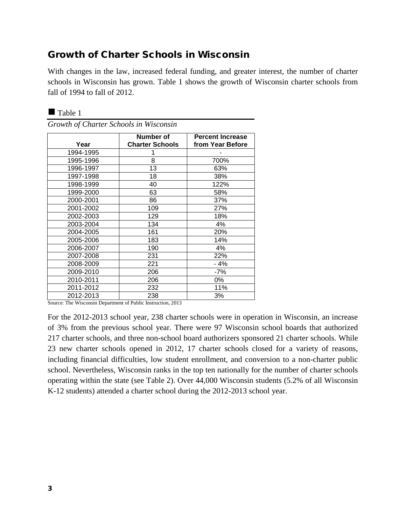## Growth of Charter Schools in Wisconsin

With changes in the law, increased federal funding, and greater interest, the number of charter schools in Wisconsin has grown. Table 1 shows the growth of Wisconsin charter schools from fall of 1994 to fall of 2012.

|           | Number of              | <b>Percent Increase</b> |
|-----------|------------------------|-------------------------|
| Year      | <b>Charter Schools</b> | from Year Before        |
| 1994-1995 |                        |                         |
| 1995-1996 | 8                      | 700%                    |
| 1996-1997 | 13                     | 63%                     |
| 1997-1998 | 18                     | 38%                     |
| 1998-1999 | 40                     | 122%                    |
| 1999-2000 | 63                     | 58%                     |
| 2000-2001 | 86                     | 37%                     |
| 2001-2002 | 109                    | 27%                     |
| 2002-2003 | 129                    | 18%                     |
| 2003-2004 | 134                    | 4%                      |
| 2004-2005 | 161                    | 20%                     |
| 2005-2006 | 183                    | 14%                     |
| 2006-2007 | 190                    | 4%                      |
| 2007-2008 | 231                    | 22%                     |
| 2008-2009 | 221                    | $-4%$                   |
| 2009-2010 | 206                    | -7%                     |
| 2010-2011 | 206                    | 0%                      |
| 2011-2012 | 232                    | 11%                     |
| 2012-2013 | 238                    | 3%                      |

| Growth of Charter Schools in Wisconsin |  |  |
|----------------------------------------|--|--|
|----------------------------------------|--|--|

Table 1

Source: The Wisconsin Department of Public Instruction, 2013

For the 2012-2013 school year, 238 charter schools were in operation in Wisconsin, an increase of 3% from the previous school year. There were 97 Wisconsin school boards that authorized 217 charter schools, and three non-school board authorizers sponsored 21 charter schools. While 23 new charter schools opened in 2012, 17 charter schools closed for a variety of reasons, including financial difficulties, low student enrollment, and conversion to a non-charter public school. Nevertheless, Wisconsin ranks in the top ten nationally for the number of charter schools operating within the state (see Table 2). Over 44,000 Wisconsin students (5.2% of all Wisconsin K-12 students) attended a charter school during the 2012-2013 school year.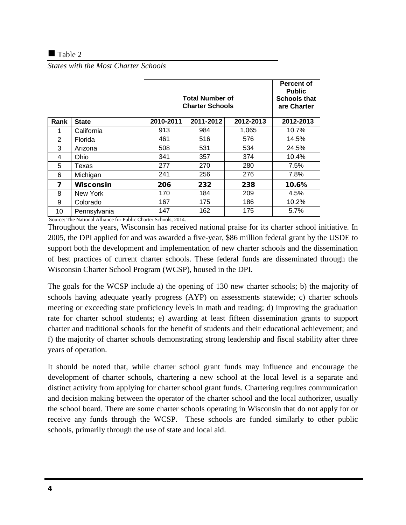#### $\blacksquare$  Table 2

*States with the Most Charter Schools*

|      |              | <b>Total Number of</b><br><b>Charter Schools</b> |           |           | Percent of<br><b>Public</b><br><b>Schools that</b><br>are Charter |
|------|--------------|--------------------------------------------------|-----------|-----------|-------------------------------------------------------------------|
| Rank | <b>State</b> | 2010-2011                                        | 2011-2012 | 2012-2013 | 2012-2013                                                         |
| 1    | California   | 913                                              | 984       | 1,065     | 10.7%                                                             |
| 2    | Florida      | 461                                              | 516       | 576       | 14.5%                                                             |
| 3    | Arizona      | 508                                              | 531       | 534       | 24.5%                                                             |
| 4    | Ohio         | 341                                              | 357       | 374       | 10.4%                                                             |
| 5    | Texas        | 277                                              | 270       | 280       | 7.5%                                                              |
| 6    | Michigan     | 241                                              | 256       | 276       | 7.8%                                                              |
| 7    | Wisconsin    | 206                                              | 232       | 238       | 10.6%                                                             |
| 8    | New York     | 170                                              | 184       | 209       | 4.5%                                                              |
| 9    | Colorado     | 167                                              | 175       | 186       | 10.2%                                                             |
| 10   | Pennsylvania | 147                                              | 162       | 175       | 5.7%                                                              |

Source: The National Alliance for Public Charter Schools, 2014.

Throughout the years, Wisconsin has received national praise for its charter school initiative. In 2005, the DPI applied for and was awarded a five-year, \$86 million federal grant by the USDE to support both the development and implementation of new charter schools and the dissemination of best practices of current charter schools. These federal funds are disseminated through the Wisconsin Charter School Program (WCSP), housed in the DPI.

The goals for the WCSP include a) the opening of 130 new charter schools; b) the majority of schools having adequate yearly progress (AYP) on assessments statewide; c) charter schools meeting or exceeding state proficiency levels in math and reading; d) improving the graduation rate for charter school students; e) awarding at least fifteen dissemination grants to support charter and traditional schools for the benefit of students and their educational achievement; and f) the majority of charter schools demonstrating strong leadership and fiscal stability after three years of operation.

It should be noted that, while charter school grant funds may influence and encourage the development of charter schools, chartering a new school at the local level is a separate and distinct activity from applying for charter school grant funds. Chartering requires communication and decision making between the operator of the charter school and the local authorizer, usually the school board. There are some charter schools operating in Wisconsin that do not apply for or receive any funds through the WCSP. These schools are funded similarly to other public schools, primarily through the use of state and local aid.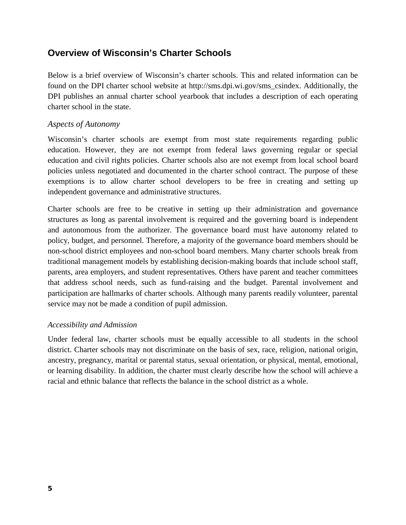## **Overview of Wisconsin's Charter Schools**

Below is a brief overview of Wisconsin's charter schools. This and related information can be found on the DPI charter school website at http://sms.dpi.wi.gov/sms\_csindex. Additionally, the DPI publishes an annual charter school yearbook that includes a description of each operating charter school in the state.

#### *Aspects of Autonomy*

Wisconsin's charter schools are exempt from most state requirements regarding public education. However, they are not exempt from federal laws governing regular or special education and civil rights policies. Charter schools also are not exempt from local school board policies unless negotiated and documented in the charter school contract. The purpose of these exemptions is to allow charter school developers to be free in creating and setting up independent governance and administrative structures.

Charter schools are free to be creative in setting up their administration and governance structures as long as parental involvement is required and the governing board is independent and autonomous from the authorizer. The governance board must have autonomy related to policy, budget, and personnel. Therefore, a majority of the governance board members should be non-school district employees and non-school board members. Many charter schools break from traditional management models by establishing decision-making boards that include school staff, parents, area employers, and student representatives. Others have parent and teacher committees that address school needs, such as fund-raising and the budget. Parental involvement and participation are hallmarks of charter schools. Although many parents readily volunteer, parental service may not be made a condition of pupil admission.

#### *Accessibility and Admission*

Under federal law, charter schools must be equally accessible to all students in the school district. Charter schools may not discriminate on the basis of sex, race, religion, national origin, ancestry, pregnancy, marital or parental status, sexual orientation, or physical, mental, emotional, or learning disability. In addition, the charter must clearly describe how the school will achieve a racial and ethnic balance that reflects the balance in the school district as a whole.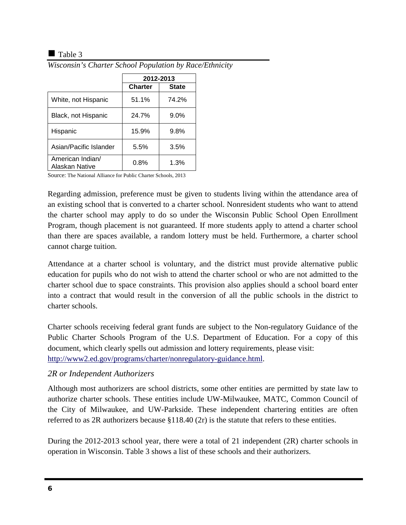#### $\blacksquare$  Table 3

|                                    | 2012-2013      |              |
|------------------------------------|----------------|--------------|
|                                    | <b>Charter</b> | <b>State</b> |
| White, not Hispanic                | 51.1%          | 74.2%        |
| Black, not Hispanic                | 24.7%          | $9.0\%$      |
| Hispanic                           | 15.9%          | 9.8%         |
| Asian/Pacific Islander             | 5.5%           | 3.5%         |
| American Indian/<br>Alaskan Native | 0.8%           | 1.3%         |

*Wisconsin's Charter School Population by Race/Ethnicity*

Source: The National Alliance for Public Charter Schools, 2013

Regarding admission, preference must be given to students living within the attendance area of an existing school that is converted to a charter school. Nonresident students who want to attend the charter school may apply to do so under the Wisconsin Public School Open Enrollment Program, though placement is not guaranteed. If more students apply to attend a charter school than there are spaces available, a random lottery must be held. Furthermore, a charter school cannot charge tuition.

Attendance at a charter school is voluntary, and the district must provide alternative public education for pupils who do not wish to attend the charter school or who are not admitted to the charter school due to space constraints. This provision also applies should a school board enter into a contract that would result in the conversion of all the public schools in the district to charter schools.

Charter schools receiving federal grant funds are subject to the Non-regulatory Guidance of the Public Charter Schools Program of the U.S. Department of Education. For a copy of this document, which clearly spells out admission and lottery requirements, please visit: [http://www2.ed.gov/programs/charter/nonregulatory-guidance.html.](http://www2.ed.gov/programs/charter/nonregulatory-guidance.html)

#### *2R or Independent Authorizers*

Although most authorizers are school districts, some other entities are permitted by state law to authorize charter schools. These entities include UW-Milwaukee, MATC, Common Council of the City of Milwaukee, and UW-Parkside. These independent chartering entities are often referred to as 2R authorizers because §118.40 (2r) is the statute that refers to these entities.

During the 2012-2013 school year, there were a total of 21 independent (2R) charter schools in operation in Wisconsin. Table 3 shows a list of these schools and their authorizers.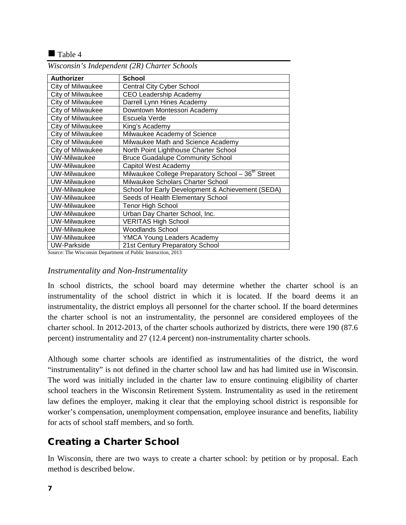#### $\blacksquare$  Table 4

| <b>Authorizer</b>   | School                                                         |
|---------------------|----------------------------------------------------------------|
| City of Milwaukee   | <b>Central City Cyber School</b>                               |
| City of Milwaukee   | <b>CEO Leadership Academy</b>                                  |
| City of Milwaukee   | Darrell Lynn Hines Academy                                     |
| City of Milwaukee   | Downtown Montessori Academy                                    |
| City of Milwaukee   | Escuela Verde                                                  |
| City of Milwaukee   | King's Academy                                                 |
| City of Milwaukee   | Milwaukee Academy of Science                                   |
| City of Milwaukee   | Milwaukee Math and Science Academy                             |
| City of Milwaukee   | North Point Lighthouse Charter School                          |
| <b>UW-Milwaukee</b> | <b>Bruce Guadalupe Community School</b>                        |
| <b>UW-Milwaukee</b> | Capitol West Academy                                           |
| UW-Milwaukee        | Milwaukee College Preparatory School - 36 <sup>th</sup> Street |
| <b>UW-Milwaukee</b> | Milwaukee Scholars Charter School                              |
| UW-Milwaukee        | School for Early Development & Achievement (SEDA)              |
| UW-Milwaukee        | Seeds of Health Elementary School                              |
| UW-Milwaukee        | <b>Tenor High School</b>                                       |
| UW-Milwaukee        | Urban Day Charter School, Inc.                                 |
| <b>UW-Milwaukee</b> | <b>VERITAS High School</b>                                     |
| <b>UW-Milwaukee</b> | Woodlands School                                               |
| <b>UW-Milwaukee</b> | <b>YMCA Young Leaders Academy</b>                              |
| <b>UW-Parkside</b>  | 21st Century Preparatory School                                |

*Wisconsin's Independent (2R) Charter Schools* 

Source: The Wisconsin Department of Public Instruction, 2013

#### *Instrumentality and Non-Instrumentality*

In school districts, the school board may determine whether the charter school is an instrumentality of the school district in which it is located. If the board deems it an instrumentality, the district employs all personnel for the charter school. If the board determines the charter school is not an instrumentality, the personnel are considered employees of the charter school. In 2012-2013, of the charter schools authorized by districts, there were 190 (87.6 percent) instrumentality and 27 (12.4 percent) non-instrumentality charter schools.

Although some charter schools are identified as instrumentalities of the district, the word "instrumentality" is not defined in the charter school law and has had limited use in Wisconsin. The word was initially included in the charter law to ensure continuing eligibility of charter school teachers in the Wisconsin Retirement System. Instrumentality as used in the retirement law defines the employer, making it clear that the employing school district is responsible for worker's compensation, unemployment compensation, employee insurance and benefits, liability for acts of school staff members, and so forth.

## Creating a Charter School

In Wisconsin, there are two ways to create a charter school: by petition or by proposal. Each method is described below.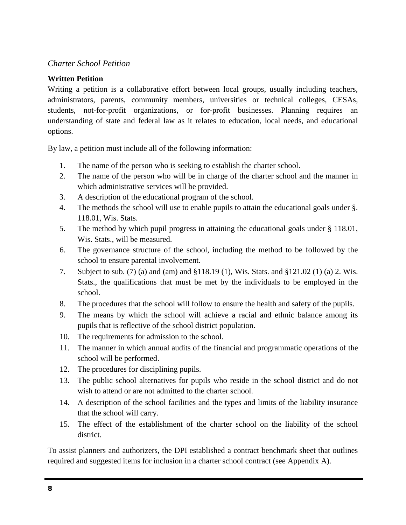#### *Charter School Petition*

#### **Written Petition**

Writing a petition is a collaborative effort between local groups, usually including teachers, administrators, parents, community members, universities or technical colleges, CESAs, students, not-for-profit organizations, or for-profit businesses. Planning requires an understanding of state and federal law as it relates to education, local needs, and educational options.

By law, a petition must include all of the following information:

- 1. The name of the person who is seeking to establish the charter school.
- 2. The name of the person who will be in charge of the charter school and the manner in which administrative services will be provided.
- 3. A description of the educational program of the school.
- 4. The methods the school will use to enable pupils to attain the educational goals under §. 118.01, Wis. Stats.
- 5. The method by which pupil progress in attaining the educational goals under § 118.01, Wis. Stats., will be measured.
- 6. The governance structure of the school, including the method to be followed by the school to ensure parental involvement.
- 7. Subject to sub. (7) (a) and (am) and §118.19 (1), Wis. Stats. and §121.02 (1) (a) 2. Wis. Stats., the qualifications that must be met by the individuals to be employed in the school.
- 8. The procedures that the school will follow to ensure the health and safety of the pupils.
- 9. The means by which the school will achieve a racial and ethnic balance among its pupils that is reflective of the school district population.
- 10. The requirements for admission to the school.
- 11. The manner in which annual audits of the financial and programmatic operations of the school will be performed.
- 12. The procedures for disciplining pupils.
- 13. The public school alternatives for pupils who reside in the school district and do not wish to attend or are not admitted to the charter school.
- 14. A description of the school facilities and the types and limits of the liability insurance that the school will carry.
- 15. The effect of the establishment of the charter school on the liability of the school district.

To assist planners and authorizers, the DPI established a contract benchmark sheet that outlines required and suggested items for inclusion in a charter school contract (see Appendix A).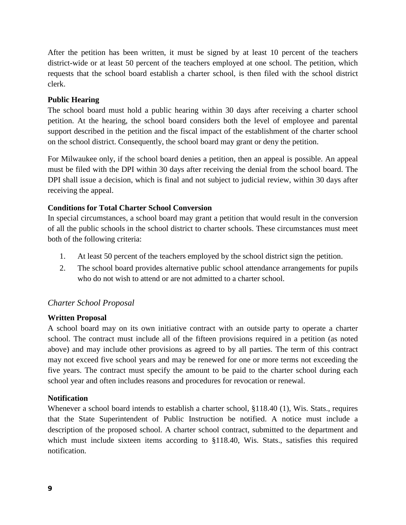After the petition has been written, it must be signed by at least 10 percent of the teachers district-wide or at least 50 percent of the teachers employed at one school. The petition, which requests that the school board establish a charter school, is then filed with the school district clerk.

#### **Public Hearing**

The school board must hold a public hearing within 30 days after receiving a charter school petition. At the hearing, the school board considers both the level of employee and parental support described in the petition and the fiscal impact of the establishment of the charter school on the school district. Consequently, the school board may grant or deny the petition.

For Milwaukee only, if the school board denies a petition, then an appeal is possible. An appeal must be filed with the DPI within 30 days after receiving the denial from the school board. The DPI shall issue a decision, which is final and not subject to judicial review, within 30 days after receiving the appeal.

#### **Conditions for Total Charter School Conversion**

In special circumstances, a school board may grant a petition that would result in the conversion of all the public schools in the school district to charter schools. These circumstances must meet both of the following criteria:

- 1. At least 50 percent of the teachers employed by the school district sign the petition.
- 2. The school board provides alternative public school attendance arrangements for pupils who do not wish to attend or are not admitted to a charter school.

#### *Charter School Proposal*

#### **Written Proposal**

A school board may on its own initiative contract with an outside party to operate a charter school. The contract must include all of the fifteen provisions required in a petition (as noted above) and may include other provisions as agreed to by all parties. The term of this contract may not exceed five school years and may be renewed for one or more terms not exceeding the five years. The contract must specify the amount to be paid to the charter school during each school year and often includes reasons and procedures for revocation or renewal.

#### **Notification**

Whenever a school board intends to establish a charter school, §118.40 (1), Wis. Stats., requires that the State Superintendent of Public Instruction be notified. A notice must include a description of the proposed school. A charter school contract, submitted to the department and which must include sixteen items according to §118.40, Wis. Stats., satisfies this required notification.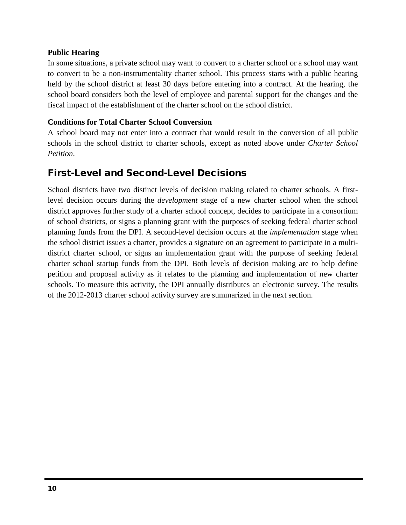#### **Public Hearing**

In some situations, a private school may want to convert to a charter school or a school may want to convert to be a non-instrumentality charter school. This process starts with a public hearing held by the school district at least 30 days before entering into a contract. At the hearing, the school board considers both the level of employee and parental support for the changes and the fiscal impact of the establishment of the charter school on the school district.

#### **Conditions for Total Charter School Conversion**

A school board may not enter into a contract that would result in the conversion of all public schools in the school district to charter schools, except as noted above under *Charter School Petition*.

## First-Level and Second-Level Decisions

School districts have two distinct levels of decision making related to charter schools. A firstlevel decision occurs during the *development* stage of a new charter school when the school district approves further study of a charter school concept, decides to participate in a consortium of school districts, or signs a planning grant with the purposes of seeking federal charter school planning funds from the DPI. A second-level decision occurs at the *implementation* stage when the school district issues a charter, provides a signature on an agreement to participate in a multidistrict charter school, or signs an implementation grant with the purpose of seeking federal charter school startup funds from the DPI. Both levels of decision making are to help define petition and proposal activity as it relates to the planning and implementation of new charter schools. To measure this activity, the DPI annually distributes an electronic survey. The results of the 2012-2013 charter school activity survey are summarized in the next section.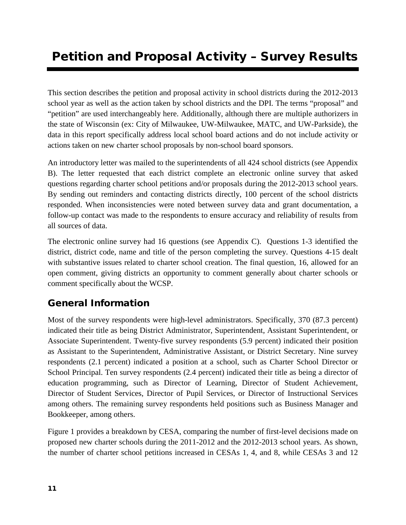# Petition and Proposal Activity – Survey Results

This section describes the petition and proposal activity in school districts during the 2012-2013 school year as well as the action taken by school districts and the DPI. The terms "proposal" and "petition" are used interchangeably here. Additionally, although there are multiple authorizers in the state of Wisconsin (ex: City of Milwaukee, UW-Milwaukee, MATC, and UW-Parkside), the data in this report specifically address local school board actions and do not include activity or actions taken on new charter school proposals by non-school board sponsors.

An introductory letter was mailed to the superintendents of all 424 school districts (see Appendix B). The letter requested that each district complete an electronic online survey that asked questions regarding charter school petitions and/or proposals during the 2012-2013 school years. By sending out reminders and contacting districts directly, 100 percent of the school districts responded. When inconsistencies were noted between survey data and grant documentation, a follow-up contact was made to the respondents to ensure accuracy and reliability of results from all sources of data.

The electronic online survey had 16 questions (see Appendix C). Questions 1-3 identified the district, district code, name and title of the person completing the survey. Questions 4-15 dealt with substantive issues related to charter school creation. The final question, 16, allowed for an open comment, giving districts an opportunity to comment generally about charter schools or comment specifically about the WCSP.

## General Information

Most of the survey respondents were high-level administrators. Specifically, 370 (87.3 percent) indicated their title as being District Administrator, Superintendent, Assistant Superintendent, or Associate Superintendent. Twenty-five survey respondents (5.9 percent) indicated their position as Assistant to the Superintendent, Administrative Assistant, or District Secretary. Nine survey respondents (2.1 percent) indicated a position at a school, such as Charter School Director or School Principal. Ten survey respondents (2.4 percent) indicated their title as being a director of education programming, such as Director of Learning, Director of Student Achievement, Director of Student Services, Director of Pupil Services, or Director of Instructional Services among others. The remaining survey respondents held positions such as Business Manager and Bookkeeper, among others.

Figure 1 provides a breakdown by CESA, comparing the number of first-level decisions made on proposed new charter schools during the 2011-2012 and the 2012-2013 school years. As shown, the number of charter school petitions increased in CESAs 1, 4, and 8, while CESAs 3 and 12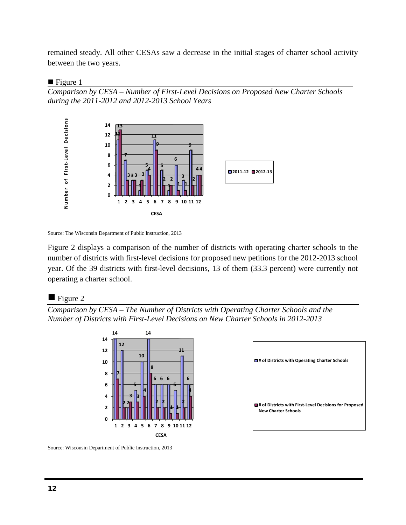remained steady. All other CESAs saw a decrease in the initial stages of charter school activity between the two years.

#### $\blacksquare$  Figure 1

*Comparison by CESA – Number of First-Level Decisions on Proposed New Charter Schools during the 2011-2012 and 2012-2013 School Years*



Source: The Wisconsin Department of Public Instruction, 2013

Figure 2 displays a comparison of the number of districts with operating charter schools to the number of districts with first-level decisions for proposed new petitions for the 2012-2013 school year. Of the 39 districts with first-level decisions, 13 of them (33.3 percent) were currently not operating a charter school.

#### $\blacksquare$  Figure 2

*Comparison by CESA – The Number of Districts with Operating Charter Schools and the Number of Districts with First-Level Decisions on New Charter Schools in 2012-2013*



| □ # of Districts with Operating Charter Schools                                      |  |
|--------------------------------------------------------------------------------------|--|
| # of Districts with First-Level Decisions for Proposed<br><b>New Charter Schools</b> |  |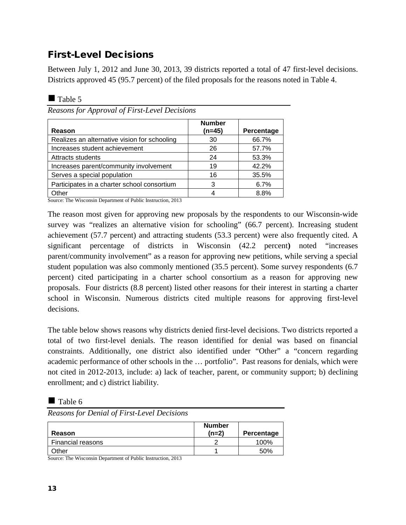# First-Level Decisions

Between July 1, 2012 and June 30, 2013, 39 districts reported a total of 47 first-level decisions. Districts approved 45 (95.7 percent) of the filed proposals for the reasons noted in Table 4.

| <b>Table</b> |  |
|--------------|--|
|--------------|--|

*Reasons for Approval of First-Level Decisions*

| Reason                                       | <b>Number</b><br>(n=45) | Percentage |
|----------------------------------------------|-------------------------|------------|
| Realizes an alternative vision for schooling | 30                      | 66.7%      |
| Increases student achievement                | 26                      | 57.7%      |
| Attracts students                            | 24                      | 53.3%      |
| Increases parent/community involvement       | 19                      | 42.2%      |
| Serves a special population                  | 16                      | 35.5%      |
| Participates in a charter school consortium  | 3                       | 6.7%       |
| Other                                        |                         | 8.8%       |

Source: The Wisconsin Department of Public Instruction, 2013

The reason most given for approving new proposals by the respondents to our Wisconsin-wide survey was "realizes an alternative vision for schooling" (66.7 percent). Increasing student achievement (57.7 percent) and attracting students (53.3 percent) were also frequently cited. A significant percentage of districts in Wisconsin (42.2 percent**)** noted "increases parent/community involvement" as a reason for approving new petitions, while serving a special student population was also commonly mentioned (35.5 percent). Some survey respondents (6.7 percent) cited participating in a charter school consortium as a reason for approving new proposals. Four districts (8.8 percent) listed other reasons for their interest in starting a charter school in Wisconsin. Numerous districts cited multiple reasons for approving first-level decisions.

The table below shows reasons why districts denied first-level decisions. Two districts reported a total of two first-level denials. The reason identified for denial was based on financial constraints. Additionally, one district also identified under "Other" a "concern regarding academic performance of other schools in the … portfolio". Past reasons for denials, which were not cited in 2012-2013, include: a) lack of teacher, parent, or community support; b) declining enrollment; and c) district liability.

#### $\blacksquare$  Table 6

*Reasons for Denial of First-Level Decisions*

| Reason                   | <b>Number</b><br>$(n=2)$ | Percentage |
|--------------------------|--------------------------|------------|
| <b>Financial reasons</b> |                          | 100%       |
| Dther                    |                          | 50%        |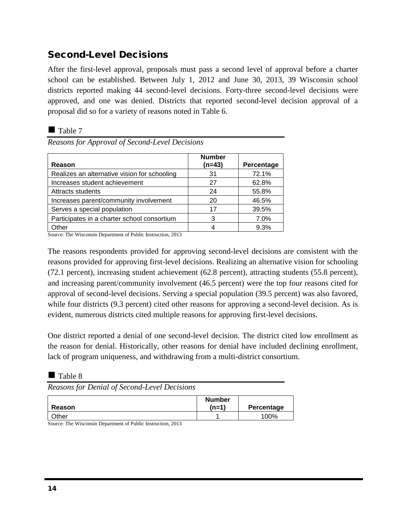# Second-Level Decisions

After the first-level approval, proposals must pass a second level of approval before a charter school can be established. Between July 1, 2012 and June 30, 2013, 39 Wisconsin school districts reported making 44 second-level decisions. Forty-three second-level decisions were approved, and one was denied. Districts that reported second-level decision approval of a proposal did so for a variety of reasons noted in Table 6.

#### ■ Table 7

*Reasons for Approval of Second-Level Decisions*

| <b>Reason</b>                                | <b>Number</b><br>$(n=43)$ | Percentage |
|----------------------------------------------|---------------------------|------------|
| Realizes an alternative vision for schooling | 31                        | 72.1%      |
| Increases student achievement                | 27                        | 62.8%      |
| Attracts students                            | 24                        | 55.8%      |
| Increases parent/community involvement       | 20                        | 46.5%      |
| Serves a special population                  | 17                        | 39.5%      |
| Participates in a charter school consortium  | 3                         | 7.0%       |
| Other                                        |                           | 9.3%       |

Source: The Wisconsin Department of Public Instruction, 2013

The reasons respondents provided for approving second-level decisions are consistent with the reasons provided for approving first-level decisions. Realizing an alternative vision for schooling (72.1 percent), increasing student achievement (62.8 percent), attracting students (55.8 percent), and increasing parent/community involvement (46.5 percent) were the top four reasons cited for approval of second-level decisions. Serving a special population (39.5 percent) was also favored, while four districts (9.3 percent) cited other reasons for approving a second-level decision. As is evident, numerous districts cited multiple reasons for approving first-level decisions.

One district reported a denial of one second-level decision. The district cited low enrollment as the reason for denial. Historically, other reasons for denial have included declining enrollment, lack of program uniqueness, and withdrawing from a multi-district consortium.

Table 8

*Reasons for Denial of Second-Level Decisions*

| Reason | <b>Number</b><br>(n=1) | Percentage |
|--------|------------------------|------------|
| Other  |                        | 100%       |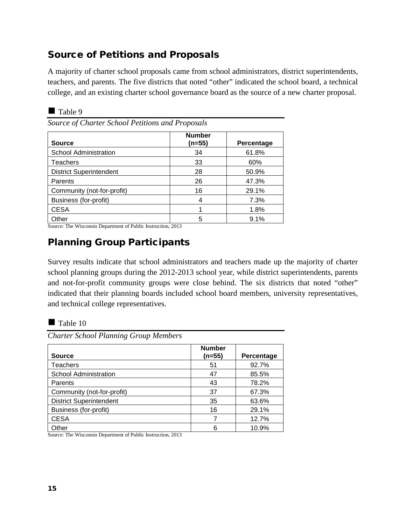# Source of Petitions and Proposals

A majority of charter school proposals came from school administrators, district superintendents, teachers, and parents. The five districts that noted "other" indicated the school board, a technical college, and an existing charter school governance board as the source of a new charter proposal.

| `able |  |
|-------|--|
|-------|--|

*Source of Charter School Petitions and Proposals*

| <b>Source</b>                  | <b>Number</b><br>(n=55) | Percentage |
|--------------------------------|-------------------------|------------|
| <b>School Administration</b>   | 34                      | 61.8%      |
| Teachers                       | 33                      | 60%        |
| <b>District Superintendent</b> | 28                      | 50.9%      |
| Parents                        | 26                      | 47.3%      |
| Community (not-for-profit)     | 16                      | 29.1%      |
| Business (for-profit)          | 4                       | 7.3%       |
| <b>CESA</b>                    |                         | 1.8%       |
| Other                          | 5                       | 9.1%       |

Source: The Wisconsin Department of Public Instruction, 2013

# Planning Group Participants

Survey results indicate that school administrators and teachers made up the majority of charter school planning groups during the 2012-2013 school year, while district superintendents, parents and not-for-profit community groups were close behind. The six districts that noted "other" indicated that their planning boards included school board members, university representatives, and technical college representatives.

*Charter School Planning Group Members*

| <b>Source</b>                  | <b>Number</b><br>$(n=55)$ | Percentage |
|--------------------------------|---------------------------|------------|
| <b>Teachers</b>                | 51                        | 92.7%      |
| School Administration          | 47                        | 85.5%      |
| Parents                        | 43                        | 78.2%      |
| Community (not-for-profit)     | 37                        | 67.3%      |
| <b>District Superintendent</b> | 35                        | 63.6%      |
| Business (for-profit)          | 16                        | 29.1%      |
| <b>CESA</b>                    |                           | 12.7%      |
| Other                          |                           | 10.9%      |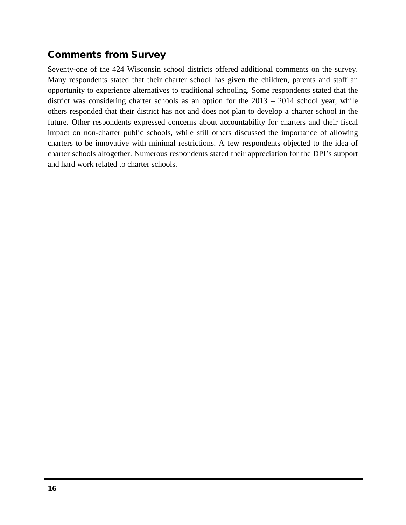# Comments from Survey

Seventy-one of the 424 Wisconsin school districts offered additional comments on the survey. Many respondents stated that their charter school has given the children, parents and staff an opportunity to experience alternatives to traditional schooling. Some respondents stated that the district was considering charter schools as an option for the 2013 – 2014 school year, while others responded that their district has not and does not plan to develop a charter school in the future. Other respondents expressed concerns about accountability for charters and their fiscal impact on non-charter public schools, while still others discussed the importance of allowing charters to be innovative with minimal restrictions. A few respondents objected to the idea of charter schools altogether. Numerous respondents stated their appreciation for the DPI's support and hard work related to charter schools.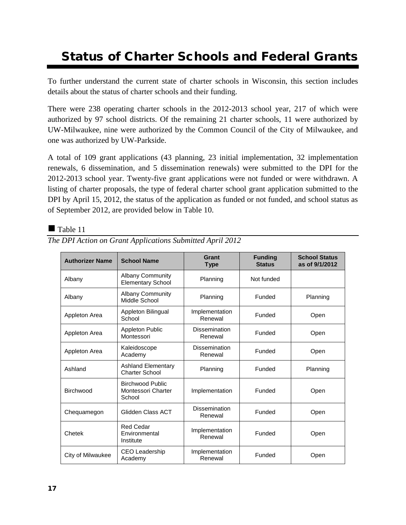# Status of Charter Schools and Federal Grants

To further understand the current state of charter schools in Wisconsin, this section includes details about the status of charter schools and their funding.

There were 238 operating charter schools in the 2012-2013 school year, 217 of which were authorized by 97 school districts. Of the remaining 21 charter schools, 11 were authorized by UW-Milwaukee, nine were authorized by the Common Council of the City of Milwaukee, and one was authorized by UW-Parkside.

A total of 109 grant applications (43 planning, 23 initial implementation, 32 implementation renewals, 6 dissemination, and 5 dissemination renewals) were submitted to the DPI for the 2012-2013 school year. Twenty-five grant applications were not funded or were withdrawn. A listing of charter proposals, the type of federal charter school grant application submitted to the DPI by April 15, 2012, the status of the application as funded or not funded, and school status as of September 2012, are provided below in Table 10.

#### $\blacksquare$  Table 11

| <b>Authorizer Name</b> | <b>School Name</b>                                             | Grant<br><b>Type</b>            | <b>Funding</b><br><b>Status</b> | <b>School Status</b><br>as of 9/1/2012 |
|------------------------|----------------------------------------------------------------|---------------------------------|---------------------------------|----------------------------------------|
| Albany                 | <b>Albany Community</b><br><b>Elementary School</b>            | Planning                        | Not funded                      |                                        |
| Albany                 | <b>Albany Community</b><br>Middle School                       | Planning                        | Funded                          | Planning                               |
| Appleton Area          | Appleton Bilingual<br>School                                   | Implementation<br>Renewal       | Funded                          | Open                                   |
| Appleton Area          | <b>Appleton Public</b><br>Montessori                           | <b>Dissemination</b><br>Renewal | Funded                          | Open                                   |
| Appleton Area          | Kaleidoscope<br>Academy                                        | <b>Dissemination</b><br>Renewal | Funded                          | Open                                   |
| Ashland                | <b>Ashland Elementary</b><br><b>Charter School</b>             | Planning                        | Funded                          | Planning                               |
| Birchwood              | <b>Birchwood Public</b><br><b>Montessori Charter</b><br>School | Implementation                  | Funded                          | Open                                   |
| Chequamegon            | Glidden Class ACT                                              | <b>Dissemination</b><br>Renewal | Funded                          | Open                                   |
| Chetek                 | <b>Red Cedar</b><br>Environmental<br>Institute                 | Implementation<br>Renewal       | Funded                          | Open                                   |
| City of Milwaukee      | <b>CEO Leadership</b><br>Academy                               | Implementation<br>Renewal       | Funded                          | Open                                   |

*The DPI Action on Grant Applications Submitted April 2012*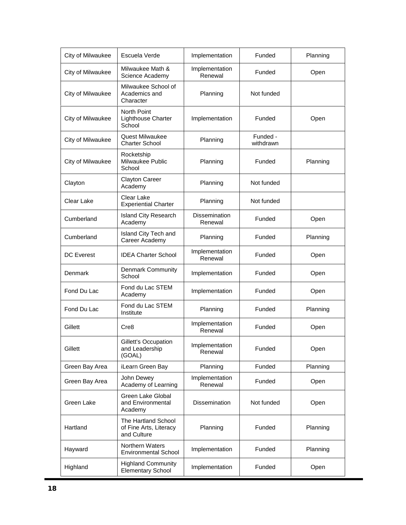| City of Milwaukee | Escuela Verde                                                | Implementation                  | Funded                | Planning |
|-------------------|--------------------------------------------------------------|---------------------------------|-----------------------|----------|
| City of Milwaukee | Milwaukee Math &<br>Science Academy                          | Implementation<br>Renewal       | Funded                | Open     |
| City of Milwaukee | Milwaukee School of<br>Academics and<br>Character            | Planning                        | Not funded            |          |
| City of Milwaukee | <b>North Point</b><br>Lighthouse Charter<br>School           | Implementation                  | Funded                | Open     |
| City of Milwaukee | <b>Quest Milwaukee</b><br><b>Charter School</b>              | Planning                        | Funded -<br>withdrawn |          |
| City of Milwaukee | Rocketship<br>Milwaukee Public<br>School                     | Planning                        | Funded                | Planning |
| Clayton           | <b>Clayton Career</b><br>Academy                             | Planning                        | Not funded            |          |
| Clear Lake        | Clear Lake<br><b>Experiential Charter</b>                    | Planning                        | Not funded            |          |
| Cumberland        | <b>Island City Research</b><br>Academy                       | <b>Dissemination</b><br>Renewal | Funded                | Open     |
| Cumberland        | Island City Tech and<br>Career Academy                       | Planning                        | Funded                | Planning |
| <b>DC</b> Everest | <b>IDEA Charter School</b>                                   | Implementation<br>Renewal       | Funded                | Open     |
| Denmark           | <b>Denmark Community</b><br>School                           | Implementation                  | Funded                | Open     |
| Fond Du Lac       | Fond du Lac STEM<br>Academy                                  | Implementation                  | Funded                | Open     |
| Fond Du Lac       | Fond du Lac STEM<br>Institute                                | Planning                        | Funded                | Planning |
| Gillett           | Cre8                                                         | Implementation<br>Renewal       | Funded                | Open     |
| Gillett           | Gillett's Occupation<br>and Leadership<br>(GOAL)             | Implementation<br>Renewal       | Funded                | Open     |
| Green Bay Area    | iLearn Green Bay                                             | Planning                        | Funded                | Planning |
| Green Bay Area    | John Dewey<br>Academy of Learning                            | Implementation<br>Renewal       | Funded                | Open     |
| Green Lake        | Green Lake Global<br>and Environmental<br>Academy            | Dissemination                   | Not funded            | Open     |
| Hartland          | The Hartland School<br>of Fine Arts, Literacy<br>and Culture | Planning                        | Funded                | Planning |
| Hayward           | Northern Waters<br><b>Environmental School</b>               | Implementation                  | Funded                | Planning |
| Highland          | <b>Highland Community</b><br><b>Elementary School</b>        | Implementation                  | Funded                | Open     |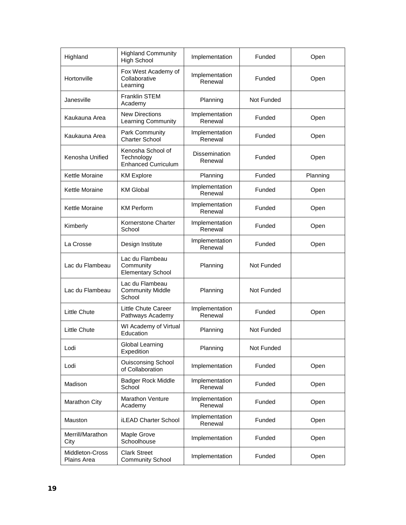| Highland                       | <b>Highland Community</b><br><b>High School</b>               | Implementation                  | Funded     | Open     |
|--------------------------------|---------------------------------------------------------------|---------------------------------|------------|----------|
| Hortonville                    | Fox West Academy of<br>Collaborative<br>Learning              | Implementation<br>Renewal       | Funded     | Open     |
| Janesville                     | <b>Franklin STEM</b><br>Academy                               | Planning                        | Not Funded |          |
| Kaukauna Area                  | <b>New Directions</b><br>Learning Community                   | Implementation<br>Renewal       | Funded     | Open     |
| Kaukauna Area                  | Park Community<br><b>Charter School</b>                       | Implementation<br>Renewal       | Funded     | Open     |
| Kenosha Unified                | Kenosha School of<br>Technology<br><b>Enhanced Curriculum</b> | <b>Dissemination</b><br>Renewal | Funded     | Open     |
| Kettle Moraine                 | <b>KM Explore</b>                                             | Planning                        | Funded     | Planning |
| Kettle Moraine                 | <b>KM Global</b>                                              | Implementation<br>Renewal       | Funded     | Open     |
| Kettle Moraine                 | <b>KM Perform</b>                                             | Implementation<br>Renewal       | Funded     | Open     |
| Kimberly                       | Kornerstone Charter<br>School                                 | Implementation<br>Renewal       | Funded     | Open     |
| La Crosse                      | Design Institute                                              | Implementation<br>Renewal       | Funded     | Open     |
| Lac du Flambeau                | Lac du Flambeau<br>Community<br><b>Elementary School</b>      | Planning                        | Not Funded |          |
| Lac du Flambeau                | Lac du Flambeau<br><b>Community Middle</b><br>School          | Planning                        | Not Funded |          |
| Little Chute                   | Little Chute Career<br>Pathways Academy                       | Implementation<br>Renewal       | Funded     | Open     |
| <b>Little Chute</b>            | WI Academy of Virtual<br>Education                            | Planning                        | Not Funded |          |
| Lodi                           | Global Learning<br>Expedition                                 | Planning                        | Not Funded |          |
| Lodi                           | <b>Ouisconsing School</b><br>of Collaboration                 | Implementation                  | Funded     | Open     |
| Madison                        | <b>Badger Rock Middle</b><br>School                           | Implementation<br>Renewal       | Funded     | Open     |
| Marathon City                  | Marathon Venture<br>Academy                                   | Implementation<br>Renewal       | Funded     | Open     |
| Mauston                        | <b>iLEAD Charter School</b>                                   | Implementation<br>Renewal       | Funded     | Open     |
| Merrill/Marathon<br>City       | Maple Grove<br>Schoolhouse                                    | Implementation                  | Funded     | Open     |
| Middleton-Cross<br>Plains Area | <b>Clark Street</b><br><b>Community School</b>                | Implementation                  | Funded     | Open     |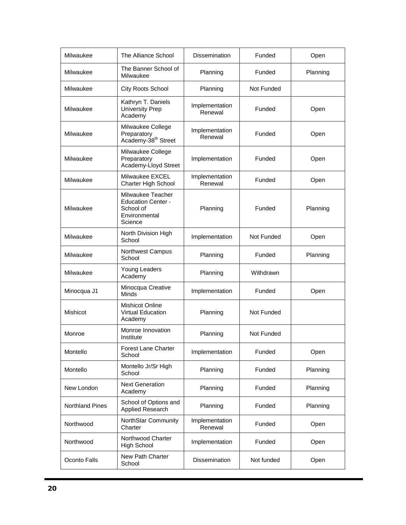| Milwaukee              | The Alliance School                                                                     | <b>Dissemination</b>      | Funded     | Open     |
|------------------------|-----------------------------------------------------------------------------------------|---------------------------|------------|----------|
| Milwaukee              | The Banner School of<br>Milwaukee                                                       | Planning                  | Funded     | Planning |
| Milwaukee              | City Roots School                                                                       | Planning                  | Not Funded |          |
| Milwaukee              | Kathryn T. Daniels<br><b>University Prep</b><br>Academy                                 | Implementation<br>Renewal | Funded     | Open     |
| Milwaukee              | Milwaukee College<br>Preparatory<br>Academy-38 <sup>th</sup> Street                     | Implementation<br>Renewal | Funded     | Open     |
| Milwaukee              | Milwaukee College<br>Preparatory<br>Academy-Lloyd Street                                | Implementation            | Funded     | Open     |
| Milwaukee              | Milwaukee EXCEL<br><b>Charter High School</b>                                           | Implementation<br>Renewal | Funded     | Open     |
| Milwaukee              | Milwaukee Teacher<br><b>Education Center -</b><br>School of<br>Environmental<br>Science | Planning                  | Funded     | Planning |
| Milwaukee              | North Division High<br>School                                                           | Implementation            | Not Funded | Open     |
| Milwaukee              | Northwest Campus<br>School                                                              | Planning                  | Funded     | Planning |
| Milwaukee              | Young Leaders<br>Academy                                                                | Planning                  | Withdrawn  |          |
| Minocqua J1            | Minocqua Creative<br><b>Minds</b>                                                       | Implementation            | Funded     | Open     |
| Mishicot               | Mishicot Online<br><b>Virtual Education</b><br>Academy                                  | Planning                  | Not Funded |          |
| Monroe                 | Monroe Innovation<br>Institute                                                          | Planning                  | Not Funded |          |
| Montello               | <b>Forest Lane Charter</b><br>School                                                    | Implementation            | Funded     | Open     |
| Montello               | Montello Jr/Sr High<br>School                                                           | Planning                  | Funded     | Planning |
| New London             | <b>Next Generation</b><br>Academy                                                       | Planning                  | Funded     | Planning |
| <b>Northland Pines</b> | School of Options and<br>Applied Research                                               | Planning                  | Funded     | Planning |
| Northwood              | NorthStar Community<br>Charter                                                          | Implementation<br>Renewal | Funded     | Open     |
| Northwood              | Northwood Charter<br>High School                                                        | Implementation            | Funded     | Open     |
| Oconto Falls           | New Path Charter<br>School                                                              | Dissemination             | Not funded | Open     |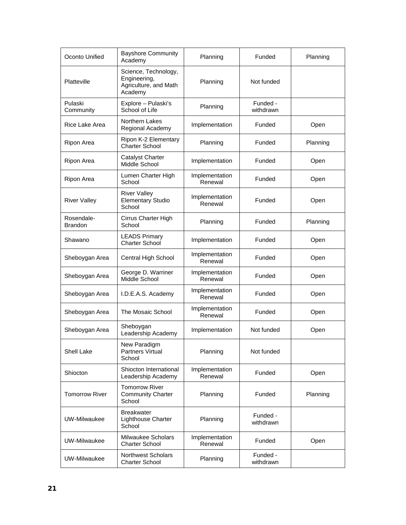| Oconto Unified               | <b>Bayshore Community</b><br>Academy                                     | Planning                  | Funded                | Planning |
|------------------------------|--------------------------------------------------------------------------|---------------------------|-----------------------|----------|
| <b>Platteville</b>           | Science, Technology,<br>Engineering,<br>Agriculture, and Math<br>Academy | Planning                  | Not funded            |          |
| Pulaski<br>Community         | Explore - Pulaski's<br>School of Life                                    | Planning                  | Funded -<br>withdrawn |          |
| Rice Lake Area               | Northern Lakes<br>Regional Academy                                       | Implementation            | Funded                | Open     |
| Ripon Area                   | Ripon K-2 Elementary<br><b>Charter School</b>                            | Planning                  | Funded                | Planning |
| Ripon Area                   | Catalyst Charter<br>Middle School                                        | Implementation            | Funded                | Open     |
| Ripon Area                   | Lumen Charter High<br>School                                             | Implementation<br>Renewal | Funded                | Open     |
| <b>River Valley</b>          | <b>River Valley</b><br><b>Elementary Studio</b><br>School                | Implementation<br>Renewal | Funded                | Open     |
| Rosendale-<br><b>Brandon</b> | Cirrus Charter High<br>School                                            | Planning                  | Funded                | Planning |
| Shawano                      | <b>LEADS Primary</b><br><b>Charter School</b>                            | Implementation            | Funded                | Open     |
| Sheboygan Area               | Central High School                                                      | Implementation<br>Renewal | Funded                | Open     |
| Sheboygan Area               | George D. Warriner<br>Middle School                                      | Implementation<br>Renewal | Funded                | Open     |
| Sheboygan Area               | I.D.E.A.S. Academy                                                       | Implementation<br>Renewal | Funded                | Open     |
| Sheboygan Area               | The Mosaic School                                                        | Implementation<br>Renewal | Funded                | Open     |
| Sheboygan Area               | Sheboygan<br>Leadership Academy                                          | Implementation            | Not funded            | Open     |
| Shell Lake                   | New Paradigm<br><b>Partners Virtual</b><br>School                        | Planning                  | Not funded            |          |
| Shiocton                     | Shiocton International<br>Leadership Academy                             | Implementation<br>Renewal | Funded                | Open     |
| <b>Tomorrow River</b>        | <b>Tomorrow River</b><br><b>Community Charter</b><br>School              | Planning                  | Funded                | Planning |
| UW-Milwaukee                 | <b>Breakwater</b><br><b>Lighthouse Charter</b><br>School                 | Planning                  | Funded -<br>withdrawn |          |
| UW-Milwaukee                 | Milwaukee Scholars<br><b>Charter School</b>                              | Implementation<br>Renewal | Funded                | Open     |
| UW-Milwaukee                 | Northwest Scholars<br><b>Charter School</b>                              | Planning                  | Funded -<br>withdrawn |          |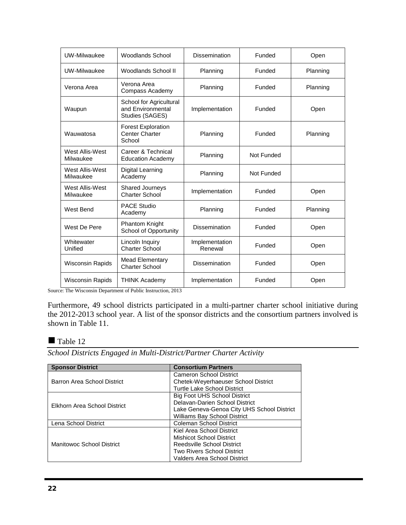| UW-Milwaukee                 | Woodlands School                                                | <b>Dissemination</b>      | Funded     | Open     |
|------------------------------|-----------------------------------------------------------------|---------------------------|------------|----------|
| UW-Milwaukee                 | Woodlands School II                                             | Planning                  | Funded     | Planning |
| Verona Area                  | Verona Area<br>Compass Academy                                  | Planning                  | Funded     | Planning |
| Waupun                       | School for Agricultural<br>and Environmental<br>Studies (SAGES) | Implementation            | Funded     | Open     |
| Wauwatosa                    | <b>Forest Exploration</b><br><b>Center Charter</b><br>School    | Planning                  | Funded     | Planning |
| West Allis-West<br>Milwaukee | Career & Technical<br><b>Education Academy</b>                  | Planning                  | Not Funded |          |
| West Allis-West<br>Milwaukee | Digital Learning<br>Academy                                     | Planning                  | Not Funded |          |
| West Allis-West<br>Milwaukee | <b>Shared Journeys</b><br><b>Charter School</b>                 | Implementation            | Funded     | Open     |
| West Bend                    | <b>PACE Studio</b><br>Academy                                   | Planning                  | Funded     | Planning |
| West De Pere                 | <b>Phantom Knight</b><br><b>School of Opportunity</b>           | <b>Dissemination</b>      | Funded     | Open     |
| Whitewater<br>Unified        | Lincoln Inquiry<br><b>Charter School</b>                        | Implementation<br>Renewal | Funded     | Open     |
| <b>Wisconsin Rapids</b>      | <b>Mead Elementary</b><br><b>Charter School</b>                 | <b>Dissemination</b>      | Funded     | Open     |
| <b>Wisconsin Rapids</b>      | <b>THINK Academy</b>                                            | Implementation            | Funded     | Open     |

Source: The Wisconsin Department of Public Instruction, 2013

Furthermore, 49 school districts participated in a multi-partner charter school initiative during the 2012-2013 school year. A list of the sponsor districts and the consortium partners involved is shown in Table 11.

#### Table 12

*School Districts Engaged in Multi-District/Partner Charter Activity*

| <b>Sponsor District</b>      | <b>Consortium Partners</b>                 |  |  |
|------------------------------|--------------------------------------------|--|--|
|                              | Cameron School District                    |  |  |
| Barron Area School District  | Chetek-Weyerhaeuser School District        |  |  |
|                              | Turtle Lake School District                |  |  |
|                              | <b>Big Foot UHS School District</b>        |  |  |
| Elkhorn Area School District | Delavan-Darien School District             |  |  |
|                              | Lake Geneva-Genoa City UHS School District |  |  |
|                              | Williams Bay School District               |  |  |
| Lena School District         | Coleman School District                    |  |  |
|                              | Kiel Area School District                  |  |  |
|                              | <b>Mishicot School District</b>            |  |  |
| Manitowoc School District    | Reedsville School District                 |  |  |
|                              | <b>Two Rivers School District</b>          |  |  |
|                              | Valders Area School District               |  |  |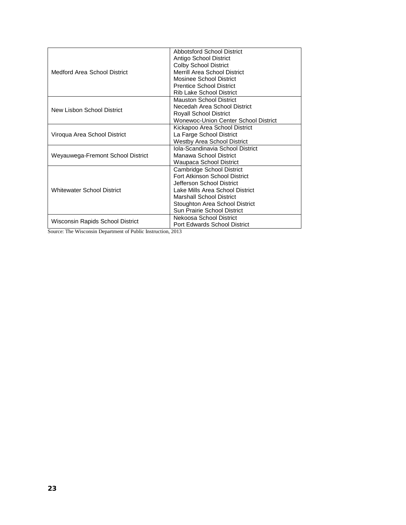|                                   | <b>Abbotsford School District</b>    |  |  |
|-----------------------------------|--------------------------------------|--|--|
|                                   | Antigo School District               |  |  |
|                                   | <b>Colby School District</b>         |  |  |
| Medford Area School District      | Merrill Area School District         |  |  |
|                                   | Mosinee School District              |  |  |
|                                   | <b>Prentice School District</b>      |  |  |
|                                   | Rib Lake School District             |  |  |
|                                   | <b>Mauston School District</b>       |  |  |
| New Lisbon School District        | Necedah Area School District         |  |  |
|                                   | <b>Royall School District</b>        |  |  |
|                                   | Wonewoc-Union Center School District |  |  |
|                                   | Kickapoo Area School District        |  |  |
| Viroqua Area School District      | La Farge School District             |  |  |
|                                   | Westby Area School District          |  |  |
|                                   | Iola-Scandinavia School District     |  |  |
| Weyauwega-Fremont School District | Manawa School District               |  |  |
|                                   | Waupaca School District              |  |  |
|                                   | Cambridge School District            |  |  |
|                                   | Fort Atkinson School District        |  |  |
|                                   | Jefferson School District            |  |  |
| <b>Whitewater School District</b> | Lake Mills Area School District      |  |  |
|                                   | <b>Marshall School District</b>      |  |  |
|                                   | Stoughton Area School District       |  |  |
|                                   | Sun Prairie School District          |  |  |
|                                   | Nekoosa School District              |  |  |
| Wisconsin Rapids School District  | Port Edwards School District         |  |  |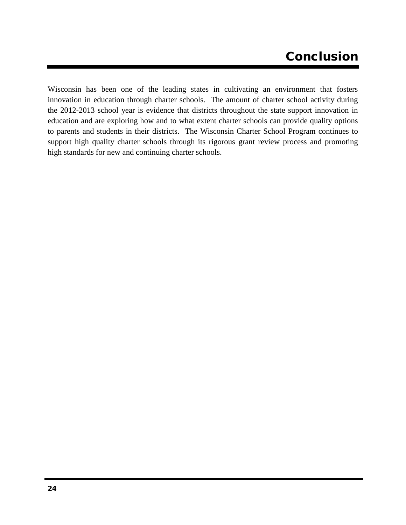# Conclusion

Wisconsin has been one of the leading states in cultivating an environment that fosters innovation in education through charter schools. The amount of charter school activity during the 2012-2013 school year is evidence that districts throughout the state support innovation in education and are exploring how and to what extent charter schools can provide quality options to parents and students in their districts. The Wisconsin Charter School Program continues to support high quality charter schools through its rigorous grant review process and promoting high standards for new and continuing charter schools.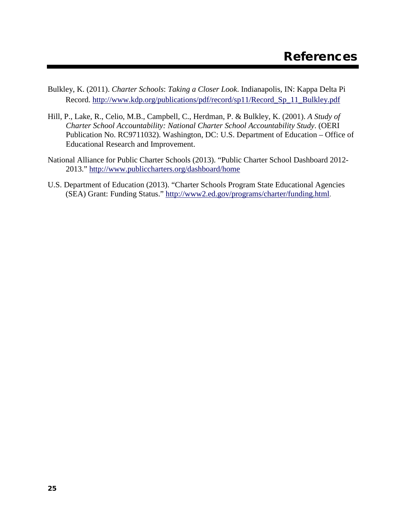- Bulkley, K. (2011). *Charter Schools*: *Taking a Closer Look*. Indianapolis, IN: Kappa Delta Pi Record. [http://www.kdp.org/publications/pdf/record/sp11/Record\\_Sp\\_11\\_Bulkley.pdf](http://www.kdp.org/publications/pdf/record/sp11/Record_Sp_11_Bulkley.pdf)
- Hill, P., Lake, R., Celio, M.B., Campbell, C., Herdman, P. & Bulkley, K. (2001). *A Study of Charter School Accountability: National Charter School Accountability Study*. (OERI Publication No. RC9711032). Washington, DC: U.S. Department of Education – Office of Educational Research and Improvement.
- National Alliance for Public Charter Schools (2013). "Public Charter School Dashboard 2012- 2013." <http://www.publiccharters.org/dashboard/home>
- U.S. Department of Education (2013). "Charter Schools Program State Educational Agencies (SEA) Grant: Funding Status." <http://www2.ed.gov/programs/charter/funding.html>.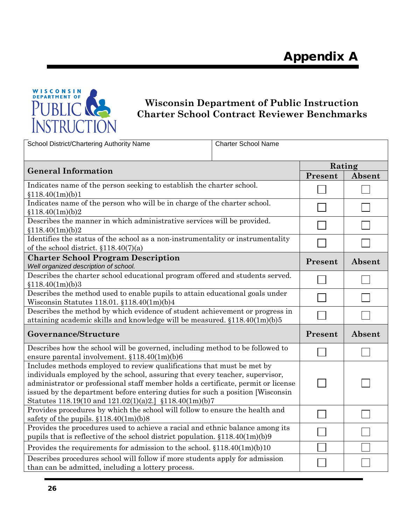

# **Wisconsin Department of Public Instruction Charter School Contract Reviewer Benchmarks**

| School District/Chartering Authority Name                                                                                                                                                                                                                                                                                                                                                | <b>Charter School Name</b> |         |        |
|------------------------------------------------------------------------------------------------------------------------------------------------------------------------------------------------------------------------------------------------------------------------------------------------------------------------------------------------------------------------------------------|----------------------------|---------|--------|
|                                                                                                                                                                                                                                                                                                                                                                                          |                            | Rating  |        |
| <b>General Information</b>                                                                                                                                                                                                                                                                                                                                                               |                            | Present | Absent |
| Indicates name of the person seeking to establish the charter school.<br>\$118.40(1m)(b)1                                                                                                                                                                                                                                                                                                |                            |         |        |
| Indicates name of the person who will be in charge of the charter school.<br>\$118.40(1m)(b)2                                                                                                                                                                                                                                                                                            |                            |         |        |
| Describes the manner in which administrative services will be provided.<br>\$118.40(1m)(b)2                                                                                                                                                                                                                                                                                              |                            |         |        |
| Identifies the status of the school as a non-instrumentality or instrumentality<br>of the school district. $$118.40(7)(a)$                                                                                                                                                                                                                                                               |                            |         |        |
| <b>Charter School Program Description</b><br>Well organized description of school.                                                                                                                                                                                                                                                                                                       |                            | Present | Absent |
| Describes the charter school educational program offered and students served.<br>\$118.40(1m)(b)3                                                                                                                                                                                                                                                                                        |                            |         |        |
| Describes the method used to enable pupils to attain educational goals under<br>Wisconsin Statutes 118.01. $$118.40(1m)(b)4$                                                                                                                                                                                                                                                             |                            |         |        |
| Describes the method by which evidence of student achievement or progress in<br>attaining academic skills and knowledge will be measured. §118.40(1m)(b)5                                                                                                                                                                                                                                |                            |         |        |
| Governance/Structure                                                                                                                                                                                                                                                                                                                                                                     |                            | Present | Absent |
| Describes how the school will be governed, including method to be followed to<br>ensure parental involvement. $$118.40(1m)(b)6$                                                                                                                                                                                                                                                          |                            |         |        |
| Includes methods employed to review qualifications that must be met by<br>individuals employed by the school, assuring that every teacher, supervisor,<br>administrator or professional staff member holds a certificate, permit or license<br>issued by the department before entering duties for such a position [Wisconsin]<br>Statutes 118.19(10 and 121.02(1)(a)2.] §118.40(1m)(b)7 |                            |         |        |
| Provides procedures by which the school will follow to ensure the health and<br>safety of the pupils. §118.40(1m)(b)8                                                                                                                                                                                                                                                                    |                            |         |        |
| Provides the procedures used to achieve a racial and ethnic balance among its<br>pupils that is reflective of the school district population. $$118.40(1m)(b)9$                                                                                                                                                                                                                          |                            |         |        |
| Provides the requirements for admission to the school. $$118.40(1m)(b)10$                                                                                                                                                                                                                                                                                                                |                            |         |        |
| Describes procedures school will follow if more students apply for admission<br>than can be admitted, including a lottery process.                                                                                                                                                                                                                                                       |                            |         |        |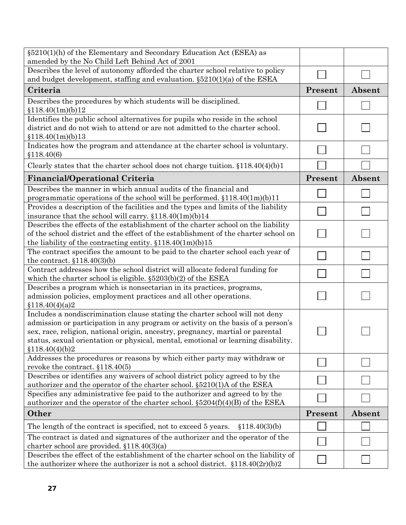| $\S5210(1)$ (h) of the Elementary and Secondary Education Act (ESEA) as<br>amended by the No Child Left Behind Act of 2001                                                                                                                                                                                                                                 |         |        |
|------------------------------------------------------------------------------------------------------------------------------------------------------------------------------------------------------------------------------------------------------------------------------------------------------------------------------------------------------------|---------|--------|
| Describes the level of autonomy afforded the charter school relative to policy                                                                                                                                                                                                                                                                             |         |        |
| and budget development, staffing and evaluation. $\S5210(1)(a)$ of the ESEA                                                                                                                                                                                                                                                                                |         |        |
| Criteria                                                                                                                                                                                                                                                                                                                                                   | Present | Absent |
| Describes the procedures by which students will be disciplined.<br>\$118.40(1m)(b)12                                                                                                                                                                                                                                                                       |         |        |
| Identifies the public school alternatives for pupils who reside in the school<br>district and do not wish to attend or are not admitted to the charter school.<br>\$118.40(1m)(b)13                                                                                                                                                                        |         |        |
| Indicates how the program and attendance at the charter school is voluntary.<br>\$118.40(6)                                                                                                                                                                                                                                                                |         |        |
| Clearly states that the charter school does not charge tuition. $$118.40(4)(b)1$                                                                                                                                                                                                                                                                           |         |        |
| <b>Financial/Operational Criteria</b>                                                                                                                                                                                                                                                                                                                      | Present | Absent |
| Describes the manner in which annual audits of the financial and<br>programmatic operations of the school will be performed. §118.40(1m)(b)11                                                                                                                                                                                                              |         |        |
| Provides a description of the facilities and the types and limits of the liability<br>insurance that the school will carry. $$118.40(1m)(b)14$                                                                                                                                                                                                             |         |        |
| Describes the effects of the establishment of the charter school on the liability<br>of the school district and the effect of the establishment of the charter school on<br>the liability of the contracting entity. $$118.40(1m)(b)15$                                                                                                                    |         |        |
| The contract specifies the amount to be paid to the charter school each year of<br>the contract. $$118.40(3)(b)$                                                                                                                                                                                                                                           |         |        |
| Contract addresses how the school district will allocate federal funding for<br>which the charter school is eligible. $\S5203(b)(2)$ of the ESEA                                                                                                                                                                                                           |         |        |
| Describes a program which is nonsectarian in its practices, programs,<br>admission policies, employment practices and all other operations.<br>\$118.40(4)(a)2                                                                                                                                                                                             |         |        |
| Includes a nondiscrimination clause stating the charter school will not deny<br>admission or participation in any program or activity on the basis of a person's<br>sex, race, religion, national origin, ancestry, pregnancy, martial or parental<br>status, sexual orientation or physical, mental, emotional or learning disability.<br>\$118.40(4)(b)2 |         |        |
| Addresses the procedures or reasons by which either party may withdraw or<br>revoke the contract. $$118.40(5)$                                                                                                                                                                                                                                             |         |        |
| Describes or identifies any waivers of school district policy agreed to by the<br>authorizer and the operator of the charter school. §5210(1)A of the ESEA                                                                                                                                                                                                 |         |        |
| Specifies any administrative fee paid to the authorizer and agreed to by the<br>authorizer and the operator of the charter school. $\S5204(f)(4)(B)$ of the ESEA                                                                                                                                                                                           |         |        |
| Other                                                                                                                                                                                                                                                                                                                                                      | Present | Absent |
| The length of the contract is specified, not to exceed 5 years.<br>\$118.40(3)(b)                                                                                                                                                                                                                                                                          |         |        |
| The contract is dated and signatures of the authorizer and the operator of the<br>charter school are provided. $$118.40(3)(a)$                                                                                                                                                                                                                             |         |        |
| Describes the effect of the establishment of the charter school on the liability of<br>the authorizer where the authorizer is not a school district. $$118.40(2r)(b)2$                                                                                                                                                                                     |         |        |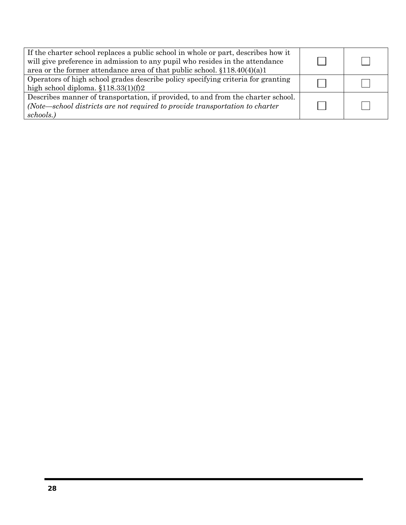| If the charter school replaces a public school in whole or part, describes how it<br>will give preference in admission to any pupil who resides in the attendance<br>area or the former attendance area of that public school. $\S 118.40(4)(a)1$ |  |
|---------------------------------------------------------------------------------------------------------------------------------------------------------------------------------------------------------------------------------------------------|--|
| Operators of high school grades describe policy specifying criteria for granting<br>high school diploma. $$118.33(1)(f)2$                                                                                                                         |  |
| Describes manner of transportation, if provided, to and from the charter school.<br>(Note—school districts are not required to provide transportation to charter<br>schools.)                                                                     |  |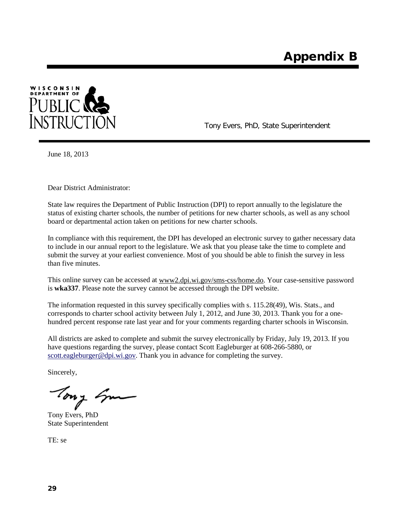

Tony Evers, PhD, State Superintendent

June 18, 2013

Dear District Administrator:

State law requires the Department of Public Instruction (DPI) to report annually to the legislature the status of existing charter schools, the number of petitions for new charter schools, as well as any school board or departmental action taken on petitions for new charter schools.

In compliance with this requirement, the DPI has developed an electronic survey to gather necessary data to include in our annual report to the legislature. We ask that you please take the time to complete and submit the survey at your earliest convenience. Most of you should be able to finish the survey in less than five minutes.

This online survey can be accessed a[t www2.dpi.wi.gov/sms-css/home.do.](https://www2.dpi.wi.gov/sms-css/home.do) Your case-sensitive password is **wka337**. Please note the survey cannot be accessed through the DPI website.

The information requested in this survey specifically complies with s. 115.28(49), Wis. Stats., and corresponds to charter school activity between July 1, 2012, and June 30, 2013. Thank you for a onehundred percent response rate last year and for your comments regarding charter schools in Wisconsin.

All districts are asked to complete and submit the survey electronically by Friday, July 19, 2013. If you have questions regarding the survey, please contact Scott Eagleburger at 608-266-5880, or [scott.eagleburger@dpi.wi.gov.](mailto:scott.eagleburger@dpi.wi.gov) Thank you in advance for completing the survey.

Sincerely,

Tony Em

Tony Evers, PhD State Superintendent

TE: se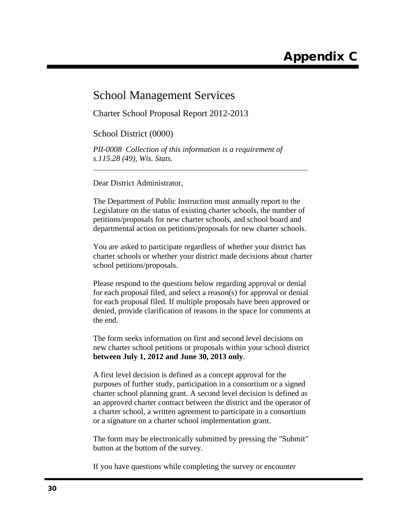## School Management Services

Charter School Proposal Report 2012-2013

School District (0000)

*PII-0008 Collection of this information is a requirement of s.115.28 (49), Wis. Stats.*

Dear District Administrator,

The Department of Public Instruction must annually report to the Legislature on the status of existing charter schools, the number of petitions/proposals for new charter schools, and school board and departmental action on petitions/proposals for new charter schools.

You are asked to participate regardless of whether your district has charter schools or whether your district made decisions about charter school petitions/proposals.

Please respond to the questions below regarding approval or denial for each proposal filed, and select a reason(s) for approval or denial for each proposal filed. If multiple proposals have been approved or denied, provide clarification of reasons in the space for comments at the end.

The form seeks information on first and second level decisions on new charter school petitions or proposals within your school district **between July 1, 2012 and June 30, 2013 only**.

A first level decision is defined as a concept approval for the purposes of further study, participation in a consortium or a signed charter school planning grant. A second level decision is defined as an approved charter contract between the district and the operator of a charter school, a written agreement to participate in a consortium or a signature on a charter school implementation grant.

The form may be electronically submitted by pressing the "Submit" button at the bottom of the survey.

If you have questions while completing the survey or encounter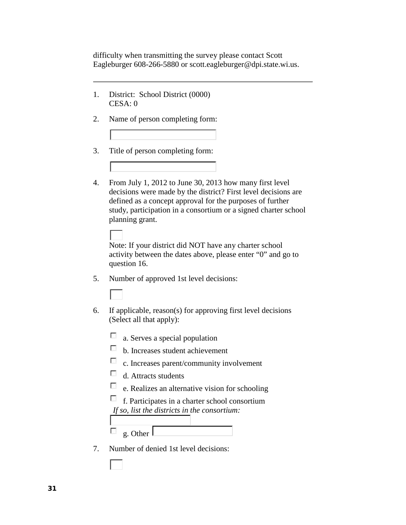difficulty when transmitting the survey please contact Scott Eagleburger 608-266-5880 or scott.eagleburger@dpi.state.wi.us.

- 1. District: School District (0000) CESA: 0
- 2. Name of person completing form:
- 3. Title of person completing form:
- 4. From July 1, 2012 to June 30, 2013 how many first level decisions were made by the district? First level decisions are defined as a concept approval for the purposes of further study, participation in a consortium or a signed charter school planning grant.

Note: If your district did NOT have any charter school activity between the dates above, please enter "0" and go to question 16.

5. Number of approved 1st level decisions:

- 6. If applicable, reason(s) for approving first level decisions (Select all that apply):
	- $\Box$  a. Serves a special population
	- b. Increases student achievement
	- c. Increases parent/community involvement
	- $\sim$ d. Attracts students
	- $\mathcal{L}_{\mathcal{A}}$ e. Realizes an alternative vision for schooling

 $\mathcal{L}$ f. Participates in a charter school consortium *If so, list the districts in the consortium:* 

 $\mathcal{L}_{\mathrm{c}}$ g. Other

7. Number of denied 1st level decisions: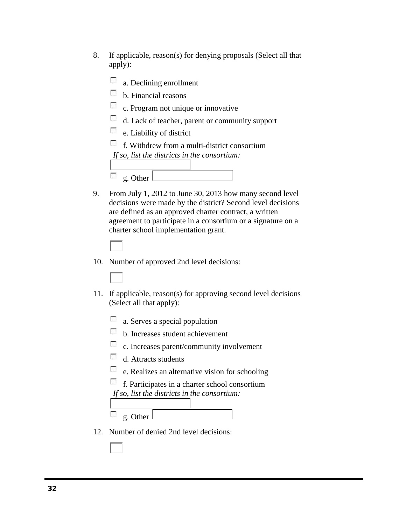8. If applicable, reason(s) for denying proposals (Select all that apply):

| a. Declining enrollment                         |
|-------------------------------------------------|
| b. Financial reasons                            |
| $\Box$ c. Program not unique or innovative      |
| d. Lack of teacher, parent or community support |
| $\Box$ e. Liability of district                 |
| f. Withdrew from a multi-district consortium    |
| If so, list the districts in the consortium:    |
|                                                 |
| g. Other                                        |

- 9. From July 1, 2012 to June 30, 2013 how many second level decisions were made by the district? Second level decisions are defined as an approved charter contract, a written agreement to participate in a consortium or a signature on a charter school implementation grant.
	-
- 10. Number of approved 2nd level decisions:
- 11. If applicable, reason(s) for approving second level decisions (Select all that apply):
	- $\Box$  a. Serves a special population
	- b. Increases student achievement
	- c. Increases parent/community involvement
	- $\mathcal{L}_{\mathrm{eff}}$ d. Attracts students
	- $\sim$ e. Realizes an alternative vision for schooling
	- $\mathcal{L}$ f. Participates in a charter school consortium *If so, list the districts in the consortium:*
	- $\mathcal{L}_{\mathcal{A}}$ g. Other
- 12. Number of denied 2nd level decisions: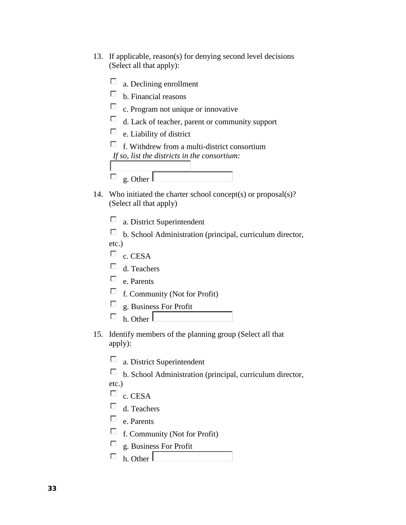- 13. If applicable, reason(s) for denying second level decisions (Select all that apply):
	- $\Box$  a. Declining enrollment  $\Box$  b. Financial reasons  $\Box$  c. Program not unique or innovative d. Lack of teacher, parent or community support  $e.$  Liability of district  $\Box$  f. Withdrew from a multi-district consortium *If so, list the districts in the consortium:*  $\mathcal{L}$ g. Other
- 14. Who initiated the charter school concept(s) or proposal(s)? (Select all that apply)
	- $\mathcal{L}_{\mathcal{A}}$ a. District Superintendent
	- b. School Administration (principal, curriculum director, etc.)
	- $\Box$  c. CESA
	- d. Teachers
	- $\Box$  e. Parents
	- $\Box$  f. Community (Not for Profit)
	- $\sim$ g. Business For Profit
	- $h$ . Other
- 15. Identify members of the planning group (Select all that apply):
	- $\mathcal{L}_{\mathcal{A}}$ a. District Superintendent
	- b. School Administration (principal, curriculum director,

etc.)

- $\Box$  c. CESA
- $\Box$  d. Teachers
- $\Box$  e. Parents
- $\Box$  f. Community (Not for Profit)
- $\mathcal{L}_{\mathcal{A}}$ g. Business For Profit
- $\Box$  h. Other